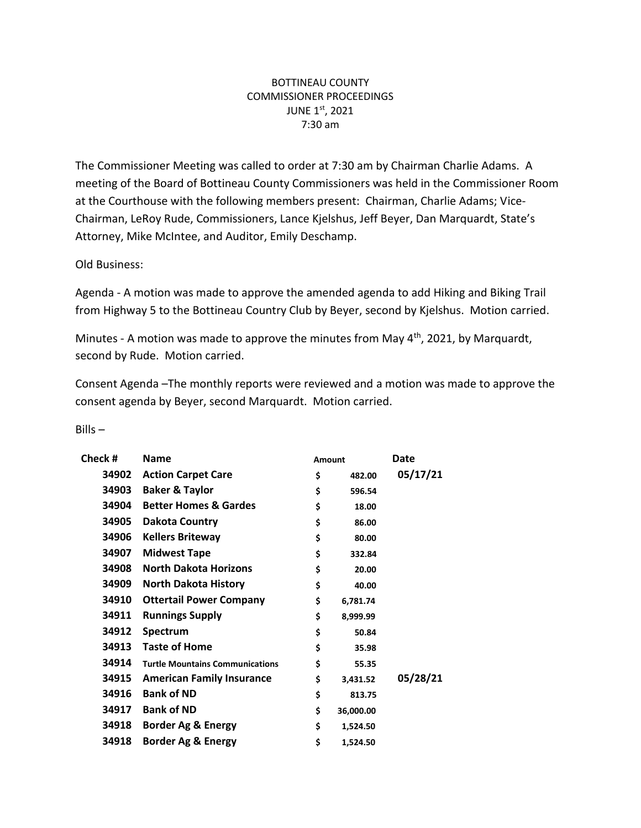## BOTTINEAU COUNTY COMMISSIONER PROCEEDINGS JUNE 1st, 2021 7:30 am

The Commissioner Meeting was called to order at 7:30 am by Chairman Charlie Adams. A meeting of the Board of Bottineau County Commissioners was held in the Commissioner Room at the Courthouse with the following members present: Chairman, Charlie Adams; Vice-Chairman, LeRoy Rude, Commissioners, Lance Kjelshus, Jeff Beyer, Dan Marquardt, State's Attorney, Mike McIntee, and Auditor, Emily Deschamp.

Old Business:

Agenda - A motion was made to approve the amended agenda to add Hiking and Biking Trail from Highway 5 to the Bottineau Country Club by Beyer, second by Kjelshus. Motion carried.

Minutes - A motion was made to approve the minutes from May 4<sup>th</sup>, 2021, by Marquardt, second by Rude. Motion carried.

Consent Agenda –The monthly reports were reviewed and a motion was made to approve the consent agenda by Beyer, second Marquardt. Motion carried.

## Bills –

| Check # | <b>Name</b>                            | Amount |           | Date     |  |
|---------|----------------------------------------|--------|-----------|----------|--|
| 34902   | <b>Action Carpet Care</b>              | \$     | 482.00    | 05/17/21 |  |
| 34903   | <b>Baker &amp; Taylor</b>              | \$     | 596.54    |          |  |
| 34904   | <b>Better Homes &amp; Gardes</b>       | \$     | 18.00     |          |  |
| 34905   | Dakota Country                         | \$     | 86.00     |          |  |
| 34906   | <b>Kellers Briteway</b>                | \$     | 80.00     |          |  |
| 34907   | <b>Midwest Tape</b>                    | \$     | 332.84    |          |  |
| 34908   | <b>North Dakota Horizons</b>           | \$     | 20.00     |          |  |
| 34909   | <b>North Dakota History</b>            | \$     | 40.00     |          |  |
| 34910   | <b>Ottertail Power Company</b>         | \$     | 6,781.74  |          |  |
| 34911   | <b>Runnings Supply</b>                 | \$     | 8,999.99  |          |  |
| 34912   | Spectrum                               | \$     | 50.84     |          |  |
| 34913   | <b>Taste of Home</b>                   | \$     | 35.98     |          |  |
| 34914   | <b>Turtle Mountains Communications</b> | \$     | 55.35     |          |  |
| 34915   | <b>American Family Insurance</b>       | \$     | 3,431.52  | 05/28/21 |  |
| 34916   | <b>Bank of ND</b>                      | \$     | 813.75    |          |  |
| 34917   | <b>Bank of ND</b>                      | \$     | 36,000.00 |          |  |
| 34918   | Border Ag & Energy                     | \$     | 1,524.50  |          |  |
| 34918   | Border Ag & Energy                     | \$     | 1,524.50  |          |  |
|         |                                        |        |           |          |  |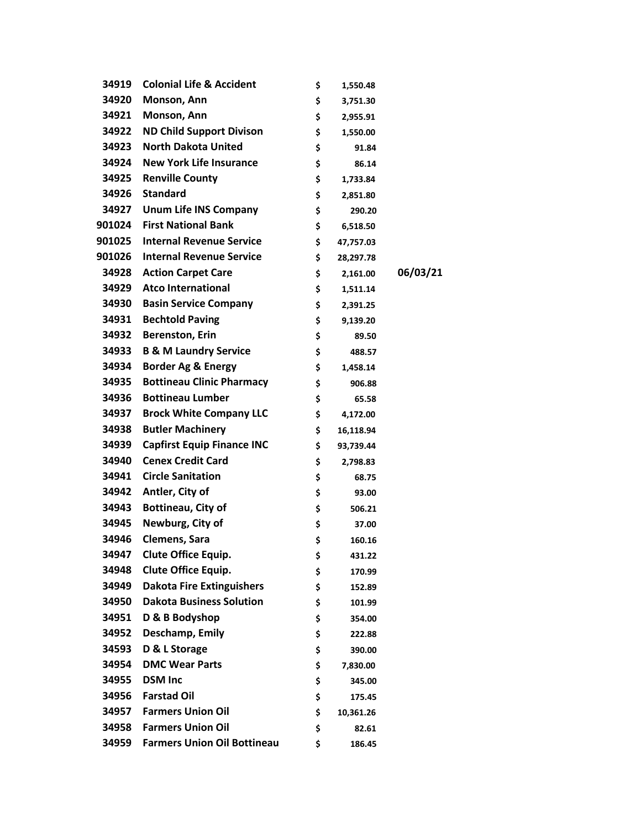| 34919  | <b>Colonial Life &amp; Accident</b> | \$<br>1,550.48  |          |
|--------|-------------------------------------|-----------------|----------|
| 34920  | Monson, Ann                         | \$<br>3,751.30  |          |
| 34921  | Monson, Ann                         | \$<br>2,955.91  |          |
| 34922  | <b>ND Child Support Divison</b>     | \$<br>1,550.00  |          |
| 34923  | <b>North Dakota United</b>          | \$<br>91.84     |          |
| 34924  | <b>New York Life Insurance</b>      | \$<br>86.14     |          |
| 34925  | <b>Renville County</b>              | \$<br>1,733.84  |          |
| 34926  | <b>Standard</b>                     | \$<br>2,851.80  |          |
| 34927  | <b>Unum Life INS Company</b>        | \$<br>290.20    |          |
| 901024 | <b>First National Bank</b>          | \$<br>6,518.50  |          |
| 901025 | <b>Internal Revenue Service</b>     | \$<br>47,757.03 |          |
| 901026 | <b>Internal Revenue Service</b>     | \$<br>28,297.78 |          |
| 34928  | <b>Action Carpet Care</b>           | \$<br>2,161.00  | 06/03/21 |
| 34929  | <b>Atco International</b>           | \$<br>1,511.14  |          |
| 34930  | <b>Basin Service Company</b>        | \$<br>2,391.25  |          |
| 34931  | <b>Bechtold Paving</b>              | \$<br>9,139.20  |          |
| 34932  | <b>Berenston, Erin</b>              | \$<br>89.50     |          |
| 34933  | <b>B &amp; M Laundry Service</b>    | \$<br>488.57    |          |
| 34934  | <b>Border Ag &amp; Energy</b>       | \$<br>1,458.14  |          |
| 34935  | <b>Bottineau Clinic Pharmacy</b>    | \$<br>906.88    |          |
| 34936  | <b>Bottineau Lumber</b>             | \$<br>65.58     |          |
| 34937  | <b>Brock White Company LLC</b>      | \$<br>4,172.00  |          |
| 34938  | <b>Butler Machinery</b>             | \$<br>16,118.94 |          |
| 34939  | <b>Capfirst Equip Finance INC</b>   | \$<br>93,739.44 |          |
| 34940  | <b>Cenex Credit Card</b>            | \$<br>2,798.83  |          |
| 34941  | <b>Circle Sanitation</b>            | \$<br>68.75     |          |
| 34942  | Antler, City of                     | \$<br>93.00     |          |
| 34943  | Bottineau, City of                  | \$<br>506.21    |          |
| 34945  | Newburg, City of                    | \$<br>37.00     |          |
| 34946  | <b>Clemens, Sara</b>                | \$<br>160.16    |          |
| 34947  | Clute Office Equip.                 | \$<br>431.22    |          |
| 34948  | Clute Office Equip.                 | \$<br>170.99    |          |
| 34949  | <b>Dakota Fire Extinguishers</b>    | \$<br>152.89    |          |
| 34950  | <b>Dakota Business Solution</b>     | \$<br>101.99    |          |
| 34951  | D & B Bodyshop                      | \$<br>354.00    |          |
| 34952  | Deschamp, Emily                     | \$<br>222.88    |          |
| 34593  | D & L Storage                       | \$<br>390.00    |          |
| 34954  | <b>DMC Wear Parts</b>               | \$<br>7,830.00  |          |
| 34955  | <b>DSM Inc</b>                      | \$<br>345.00    |          |
| 34956  | <b>Farstad Oil</b>                  | \$<br>175.45    |          |
| 34957  | <b>Farmers Union Oil</b>            | \$<br>10,361.26 |          |
| 34958  | <b>Farmers Union Oil</b>            | \$<br>82.61     |          |
| 34959  | <b>Farmers Union Oil Bottineau</b>  | \$<br>186.45    |          |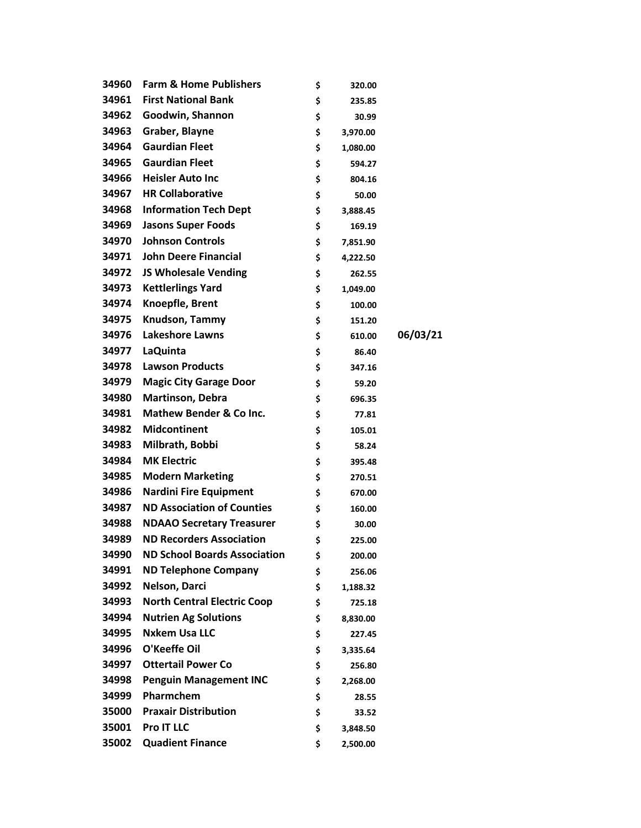| 34960 | <b>Farm &amp; Home Publishers</b>   | \$<br>320.00   |          |
|-------|-------------------------------------|----------------|----------|
| 34961 | <b>First National Bank</b>          | \$<br>235.85   |          |
| 34962 | Goodwin, Shannon                    | \$<br>30.99    |          |
| 34963 | Graber, Blayne                      | \$<br>3,970.00 |          |
| 34964 | <b>Gaurdian Fleet</b>               | \$<br>1,080.00 |          |
| 34965 | <b>Gaurdian Fleet</b>               | \$<br>594.27   |          |
| 34966 | <b>Heisler Auto Inc</b>             | \$<br>804.16   |          |
| 34967 | <b>HR Collaborative</b>             | \$<br>50.00    |          |
| 34968 | <b>Information Tech Dept</b>        | \$<br>3,888.45 |          |
| 34969 | <b>Jasons Super Foods</b>           | \$<br>169.19   |          |
| 34970 | <b>Johnson Controls</b>             | \$<br>7,851.90 |          |
| 34971 | <b>John Deere Financial</b>         | \$<br>4,222.50 |          |
| 34972 | <b>JS Wholesale Vending</b>         | \$<br>262.55   |          |
| 34973 | <b>Kettlerlings Yard</b>            | \$<br>1,049.00 |          |
| 34974 | Knoepfle, Brent                     | \$<br>100.00   |          |
| 34975 | Knudson, Tammy                      | \$<br>151.20   |          |
| 34976 | <b>Lakeshore Lawns</b>              | \$<br>610.00   | 06/03/21 |
| 34977 | <b>LaQuinta</b>                     | \$<br>86.40    |          |
| 34978 | <b>Lawson Products</b>              | \$<br>347.16   |          |
| 34979 | <b>Magic City Garage Door</b>       | \$<br>59.20    |          |
| 34980 | <b>Martinson, Debra</b>             | \$<br>696.35   |          |
| 34981 | <b>Mathew Bender &amp; Co Inc.</b>  | \$<br>77.81    |          |
| 34982 | <b>Midcontinent</b>                 | \$<br>105.01   |          |
| 34983 | Milbrath, Bobbi                     | \$<br>58.24    |          |
| 34984 | <b>MK Electric</b>                  | \$<br>395.48   |          |
| 34985 | <b>Modern Marketing</b>             | \$<br>270.51   |          |
| 34986 | <b>Nardini Fire Equipment</b>       | \$<br>670.00   |          |
| 34987 | <b>ND Association of Counties</b>   | \$<br>160.00   |          |
| 34988 | <b>NDAAO Secretary Treasurer</b>    | \$<br>30.00    |          |
| 34989 | <b>ND Recorders Association</b>     | \$<br>225.00   |          |
| 34990 | <b>ND School Boards Association</b> | \$<br>200.00   |          |
| 34991 | <b>ND Telephone Company</b>         | \$<br>256.06   |          |
| 34992 | Nelson, Darci                       | \$<br>1,188.32 |          |
| 34993 | <b>North Central Electric Coop</b>  | \$<br>725.18   |          |
| 34994 | <b>Nutrien Ag Solutions</b>         | \$<br>8,830.00 |          |
| 34995 | <b>Nxkem Usa LLC</b>                | \$<br>227.45   |          |
| 34996 | O'Keeffe Oil                        | \$<br>3,335.64 |          |
| 34997 | <b>Ottertail Power Co</b>           | \$<br>256.80   |          |
| 34998 | <b>Penguin Management INC</b>       | \$<br>2,268.00 |          |
| 34999 | Pharmchem                           | \$<br>28.55    |          |
| 35000 | <b>Praxair Distribution</b>         | \$<br>33.52    |          |
| 35001 | Pro IT LLC                          | \$<br>3,848.50 |          |
| 35002 | <b>Quadient Finance</b>             | \$<br>2,500.00 |          |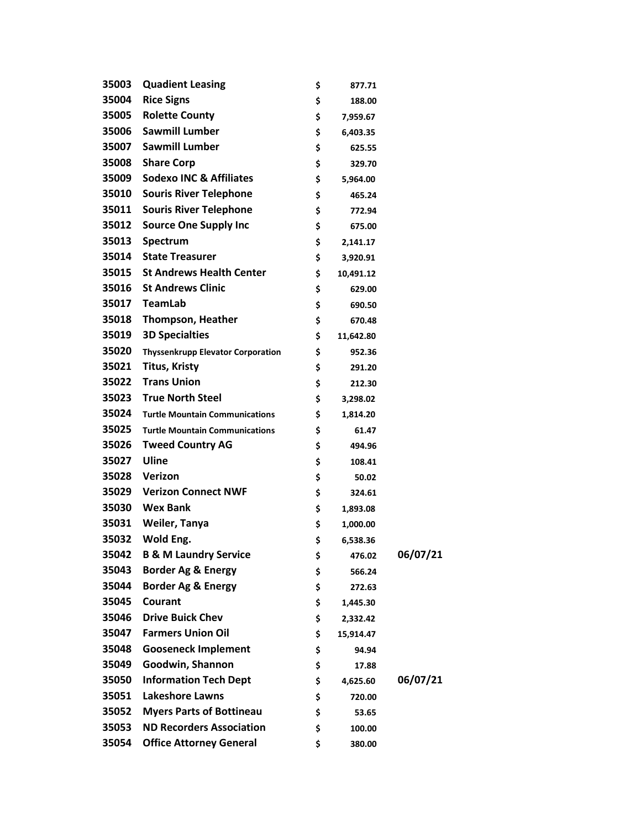| 35003 | <b>Quadient Leasing</b>                  | \$<br>877.71    |          |
|-------|------------------------------------------|-----------------|----------|
| 35004 | <b>Rice Signs</b>                        | \$<br>188.00    |          |
| 35005 | <b>Rolette County</b>                    | \$<br>7,959.67  |          |
| 35006 | <b>Sawmill Lumber</b>                    | \$<br>6,403.35  |          |
| 35007 | <b>Sawmill Lumber</b>                    | \$<br>625.55    |          |
| 35008 | <b>Share Corp</b>                        | \$<br>329.70    |          |
| 35009 | <b>Sodexo INC &amp; Affiliates</b>       | \$<br>5,964.00  |          |
| 35010 | <b>Souris River Telephone</b>            | \$<br>465.24    |          |
| 35011 | <b>Souris River Telephone</b>            | \$<br>772.94    |          |
| 35012 | <b>Source One Supply Inc</b>             | \$<br>675.00    |          |
| 35013 | Spectrum                                 | \$<br>2,141.17  |          |
| 35014 | <b>State Treasurer</b>                   | \$<br>3,920.91  |          |
| 35015 | <b>St Andrews Health Center</b>          | \$<br>10,491.12 |          |
| 35016 | <b>St Andrews Clinic</b>                 | \$<br>629.00    |          |
| 35017 | TeamLab                                  | \$<br>690.50    |          |
| 35018 | <b>Thompson, Heather</b>                 | \$<br>670.48    |          |
| 35019 | <b>3D Specialties</b>                    | \$<br>11,642.80 |          |
| 35020 | <b>Thyssenkrupp Elevator Corporation</b> | \$<br>952.36    |          |
| 35021 | <b>Titus, Kristy</b>                     | \$<br>291.20    |          |
| 35022 | <b>Trans Union</b>                       | \$<br>212.30    |          |
| 35023 | <b>True North Steel</b>                  | \$<br>3,298.02  |          |
| 35024 | <b>Turtle Mountain Communications</b>    | \$<br>1,814.20  |          |
| 35025 | <b>Turtle Mountain Communications</b>    | \$<br>61.47     |          |
| 35026 | <b>Tweed Country AG</b>                  | \$<br>494.96    |          |
| 35027 | Uline                                    | \$<br>108.41    |          |
| 35028 | Verizon                                  | \$<br>50.02     |          |
|       | 35029 Verizon Connect NWF                | \$<br>324.61    |          |
| 35030 | <b>Wex Bank</b>                          | \$<br>1,893.08  |          |
| 35031 | Weiler, Tanya                            | \$<br>1,000.00  |          |
| 35032 | Wold Eng.                                | \$<br>6,538.36  |          |
| 35042 | <b>B &amp; M Laundry Service</b>         | \$<br>476.02    | 06/07/21 |
| 35043 | <b>Border Ag &amp; Energy</b>            | \$<br>566.24    |          |
| 35044 | <b>Border Ag &amp; Energy</b>            | \$<br>272.63    |          |
| 35045 | Courant                                  | \$<br>1,445.30  |          |
| 35046 | <b>Drive Buick Chev</b>                  | \$<br>2,332.42  |          |
| 35047 | <b>Farmers Union Oil</b>                 | \$<br>15,914.47 |          |
| 35048 | <b>Gooseneck Implement</b>               | \$<br>94.94     |          |
| 35049 | Goodwin, Shannon                         | \$<br>17.88     |          |
| 35050 | <b>Information Tech Dept</b>             | \$<br>4,625.60  | 06/07/21 |
| 35051 | <b>Lakeshore Lawns</b>                   | \$<br>720.00    |          |
| 35052 | <b>Myers Parts of Bottineau</b>          | \$<br>53.65     |          |
| 35053 | <b>ND Recorders Association</b>          | \$<br>100.00    |          |
| 35054 | <b>Office Attorney General</b>           | \$<br>380.00    |          |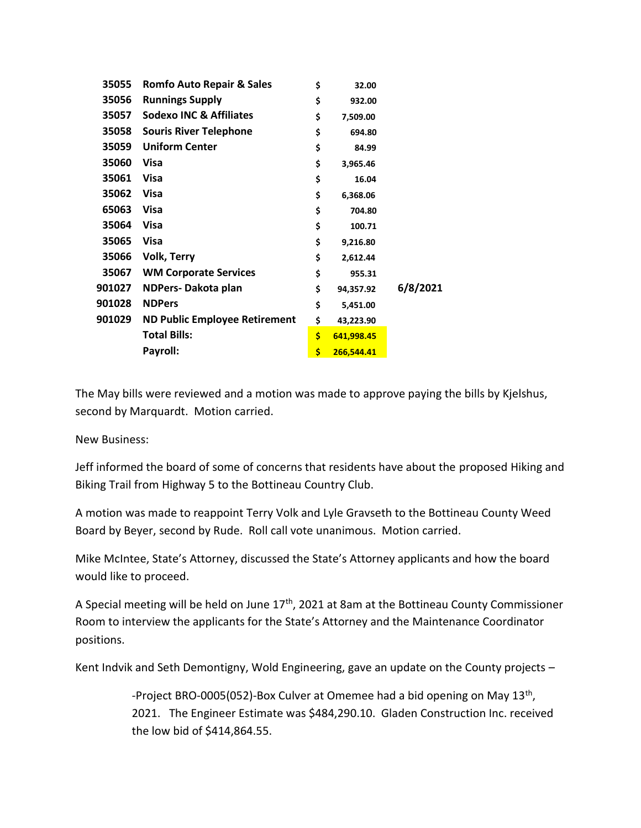| 35055  | <b>Romfo Auto Repair &amp; Sales</b> | \$ | 32.00      |          |
|--------|--------------------------------------|----|------------|----------|
| 35056  | <b>Runnings Supply</b>               | \$ | 932.00     |          |
| 35057  | <b>Sodexo INC &amp; Affiliates</b>   | \$ | 7,509.00   |          |
| 35058  | <b>Souris River Telephone</b>        | \$ | 694.80     |          |
| 35059  | <b>Uniform Center</b>                | \$ | 84.99      |          |
| 35060  | Visa                                 | \$ | 3,965.46   |          |
| 35061  | <b>Visa</b>                          | \$ | 16.04      |          |
| 35062  | <b>Visa</b>                          | \$ | 6,368.06   |          |
| 65063  | <b>Visa</b>                          | \$ | 704.80     |          |
| 35064  | <b>Visa</b>                          | \$ | 100.71     |          |
| 35065  | <b>Visa</b>                          | \$ | 9,216.80   |          |
| 35066  | <b>Volk, Terry</b>                   | \$ | 2,612.44   |          |
| 35067  | <b>WM Corporate Services</b>         | \$ | 955.31     |          |
| 901027 | NDPers-Dakota plan                   | \$ | 94,357.92  | 6/8/2021 |
| 901028 | <b>NDPers</b>                        | \$ | 5,451.00   |          |
| 901029 | <b>ND Public Employee Retirement</b> | \$ | 43,223.90  |          |
|        | <b>Total Bills:</b>                  | Ś  | 641,998.45 |          |
|        | Payroll:                             | Ś  | 266,544.41 |          |

The May bills were reviewed and a motion was made to approve paying the bills by Kjelshus, second by Marquardt. Motion carried.

New Business:

Jeff informed the board of some of concerns that residents have about the proposed Hiking and Biking Trail from Highway 5 to the Bottineau Country Club.

A motion was made to reappoint Terry Volk and Lyle Gravseth to the Bottineau County Weed Board by Beyer, second by Rude. Roll call vote unanimous. Motion carried.

Mike McIntee, State's Attorney, discussed the State's Attorney applicants and how the board would like to proceed.

A Special meeting will be held on June 17<sup>th</sup>, 2021 at 8am at the Bottineau County Commissioner Room to interview the applicants for the State's Attorney and the Maintenance Coordinator positions.

Kent Indvik and Seth Demontigny, Wold Engineering, gave an update on the County projects –

-Project BRO-0005(052)-Box Culver at Omemee had a bid opening on May 13<sup>th</sup>, 2021. The Engineer Estimate was \$484,290.10. Gladen Construction Inc. received the low bid of \$414,864.55.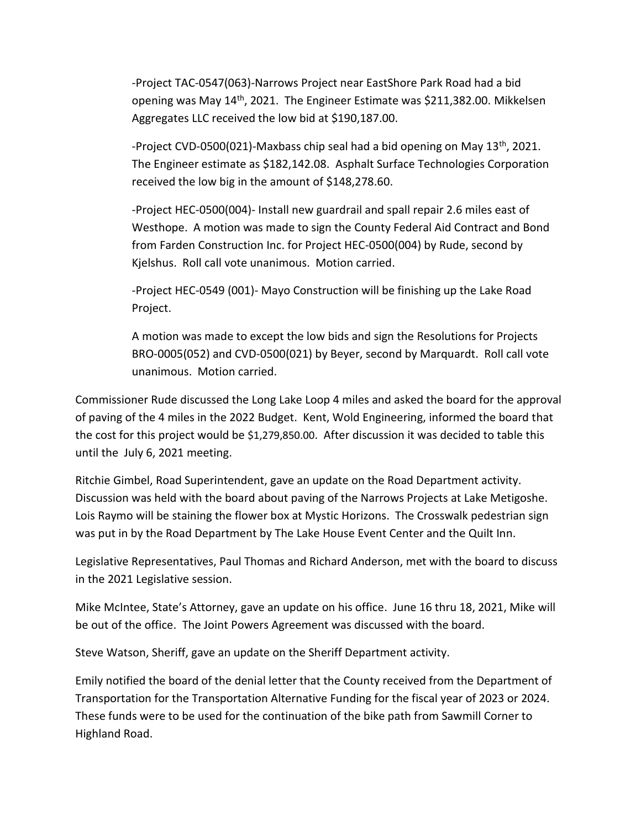-Project TAC-0547(063)-Narrows Project near EastShore Park Road had a bid opening was May 14<sup>th</sup>, 2021. The Engineer Estimate was \$211,382.00. Mikkelsen Aggregates LLC received the low bid at \$190,187.00.

-Project CVD-0500(021)-Maxbass chip seal had a bid opening on May  $13<sup>th</sup>$ , 2021. The Engineer estimate as \$182,142.08. Asphalt Surface Technologies Corporation received the low big in the amount of \$148,278.60.

-Project HEC-0500(004)- Install new guardrail and spall repair 2.6 miles east of Westhope. A motion was made to sign the County Federal Aid Contract and Bond from Farden Construction Inc. for Project HEC-0500(004) by Rude, second by Kjelshus. Roll call vote unanimous. Motion carried.

-Project HEC-0549 (001)- Mayo Construction will be finishing up the Lake Road Project.

A motion was made to except the low bids and sign the Resolutions for Projects BRO-0005(052) and CVD-0500(021) by Beyer, second by Marquardt. Roll call vote unanimous. Motion carried.

Commissioner Rude discussed the Long Lake Loop 4 miles and asked the board for the approval of paving of the 4 miles in the 2022 Budget. Kent, Wold Engineering, informed the board that the cost for this project would be \$1,279,850.00. After discussion it was decided to table this until the July 6, 2021 meeting.

Ritchie Gimbel, Road Superintendent, gave an update on the Road Department activity. Discussion was held with the board about paving of the Narrows Projects at Lake Metigoshe. Lois Raymo will be staining the flower box at Mystic Horizons. The Crosswalk pedestrian sign was put in by the Road Department by The Lake House Event Center and the Quilt Inn.

Legislative Representatives, Paul Thomas and Richard Anderson, met with the board to discuss in the 2021 Legislative session.

Mike McIntee, State's Attorney, gave an update on his office. June 16 thru 18, 2021, Mike will be out of the office. The Joint Powers Agreement was discussed with the board.

Steve Watson, Sheriff, gave an update on the Sheriff Department activity.

Emily notified the board of the denial letter that the County received from the Department of Transportation for the Transportation Alternative Funding for the fiscal year of 2023 or 2024. These funds were to be used for the continuation of the bike path from Sawmill Corner to Highland Road.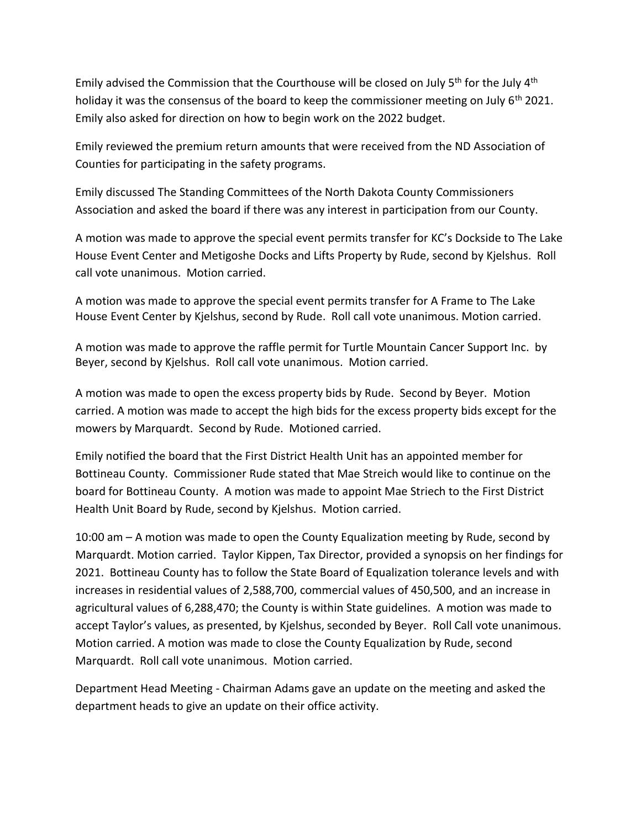Emily advised the Commission that the Courthouse will be closed on July  $5<sup>th</sup>$  for the July  $4<sup>th</sup>$ holiday it was the consensus of the board to keep the commissioner meeting on July  $6<sup>th</sup>$  2021. Emily also asked for direction on how to begin work on the 2022 budget.

Emily reviewed the premium return amounts that were received from the ND Association of Counties for participating in the safety programs.

Emily discussed The Standing Committees of the North Dakota County Commissioners Association and asked the board if there was any interest in participation from our County.

A motion was made to approve the special event permits transfer for KC's Dockside to The Lake House Event Center and Metigoshe Docks and Lifts Property by Rude, second by Kjelshus. Roll call vote unanimous. Motion carried.

A motion was made to approve the special event permits transfer for A Frame to The Lake House Event Center by Kjelshus, second by Rude. Roll call vote unanimous. Motion carried.

A motion was made to approve the raffle permit for Turtle Mountain Cancer Support Inc. by Beyer, second by Kjelshus. Roll call vote unanimous. Motion carried.

A motion was made to open the excess property bids by Rude. Second by Beyer. Motion carried. A motion was made to accept the high bids for the excess property bids except for the mowers by Marquardt. Second by Rude. Motioned carried.

Emily notified the board that the First District Health Unit has an appointed member for Bottineau County. Commissioner Rude stated that Mae Streich would like to continue on the board for Bottineau County. A motion was made to appoint Mae Striech to the First District Health Unit Board by Rude, second by Kjelshus. Motion carried.

10:00 am – A motion was made to open the County Equalization meeting by Rude, second by Marquardt. Motion carried. Taylor Kippen, Tax Director, provided a synopsis on her findings for 2021. Bottineau County has to follow the State Board of Equalization tolerance levels and with increases in residential values of 2,588,700, commercial values of 450,500, and an increase in agricultural values of 6,288,470; the County is within State guidelines. A motion was made to accept Taylor's values, as presented, by Kjelshus, seconded by Beyer. Roll Call vote unanimous. Motion carried. A motion was made to close the County Equalization by Rude, second Marquardt. Roll call vote unanimous. Motion carried.

Department Head Meeting - Chairman Adams gave an update on the meeting and asked the department heads to give an update on their office activity.